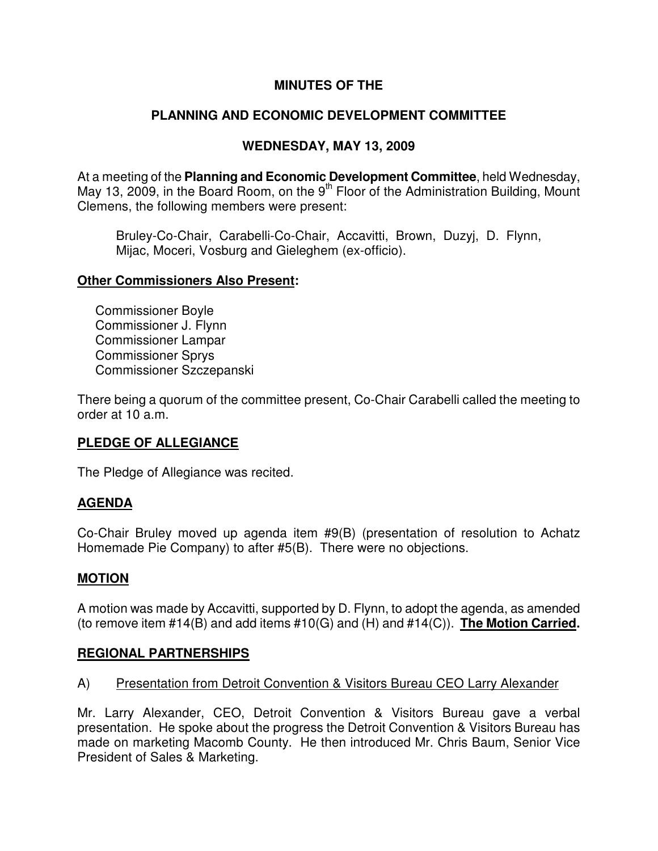# **MINUTES OF THE**

# **PLANNING AND ECONOMIC DEVELOPMENT COMMITTEE**

## **WEDNESDAY, MAY 13, 2009**

At a meeting of the **Planning and Economic Development Committee**, held Wednesday, May 13, 2009, in the Board Room, on the  $9<sup>th</sup>$  Floor of the Administration Building, Mount Clemens, the following members were present:

Bruley-Co-Chair, Carabelli-Co-Chair, Accavitti, Brown, Duzyj, D. Flynn, Mijac, Moceri, Vosburg and Gieleghem (ex-officio).

### **Other Commissioners Also Present:**

 Commissioner Boyle Commissioner J. Flynn Commissioner Lampar Commissioner Sprys Commissioner Szczepanski

There being a quorum of the committee present, Co-Chair Carabelli called the meeting to order at 10 a.m.

## **PLEDGE OF ALLEGIANCE**

The Pledge of Allegiance was recited.

## **AGENDA**

Co-Chair Bruley moved up agenda item #9(B) (presentation of resolution to Achatz Homemade Pie Company) to after #5(B). There were no objections.

## **MOTION**

A motion was made by Accavitti, supported by D. Flynn, to adopt the agenda, as amended (to remove item #14(B) and add items #10(G) and (H) and #14(C)). **The Motion Carried.** 

## **REGIONAL PARTNERSHIPS**

## A) Presentation from Detroit Convention & Visitors Bureau CEO Larry Alexander

Mr. Larry Alexander, CEO, Detroit Convention & Visitors Bureau gave a verbal presentation. He spoke about the progress the Detroit Convention & Visitors Bureau has made on marketing Macomb County. He then introduced Mr. Chris Baum, Senior Vice President of Sales & Marketing.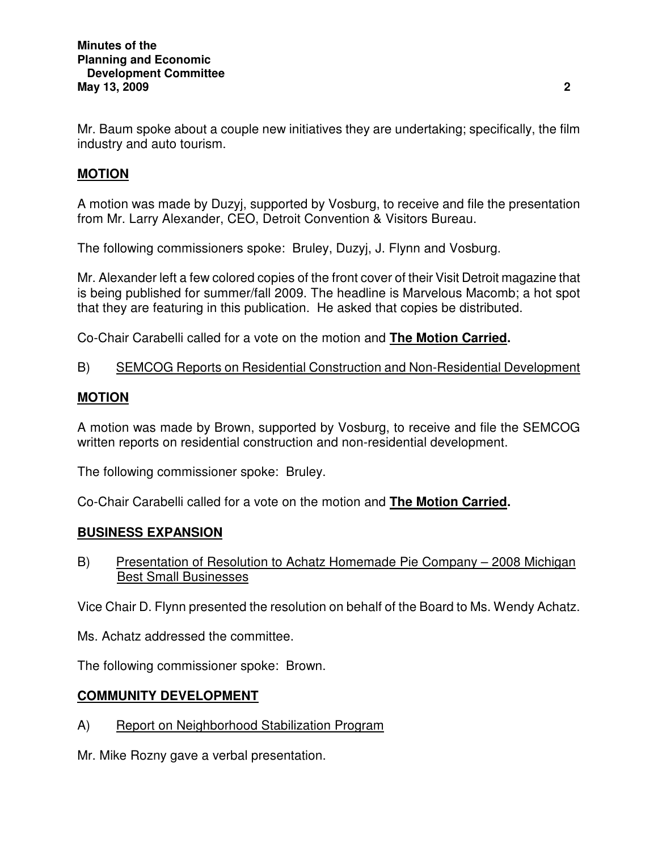Mr. Baum spoke about a couple new initiatives they are undertaking; specifically, the film industry and auto tourism.

# **MOTION**

A motion was made by Duzyj, supported by Vosburg, to receive and file the presentation from Mr. Larry Alexander, CEO, Detroit Convention & Visitors Bureau.

The following commissioners spoke: Bruley, Duzyj, J. Flynn and Vosburg.

Mr. Alexander left a few colored copies of the front cover of their Visit Detroit magazine that is being published for summer/fall 2009. The headline is Marvelous Macomb; a hot spot that they are featuring in this publication. He asked that copies be distributed.

Co-Chair Carabelli called for a vote on the motion and **The Motion Carried.** 

B) SEMCOG Reports on Residential Construction and Non-Residential Development

# **MOTION**

A motion was made by Brown, supported by Vosburg, to receive and file the SEMCOG written reports on residential construction and non-residential development.

The following commissioner spoke: Bruley.

Co-Chair Carabelli called for a vote on the motion and **The Motion Carried.** 

## **BUSINESS EXPANSION**

B) Presentation of Resolution to Achatz Homemade Pie Company – 2008 Michigan Best Small Businesses

Vice Chair D. Flynn presented the resolution on behalf of the Board to Ms. Wendy Achatz.

Ms. Achatz addressed the committee.

The following commissioner spoke: Brown.

## **COMMUNITY DEVELOPMENT**

A) Report on Neighborhood Stabilization Program

Mr. Mike Rozny gave a verbal presentation.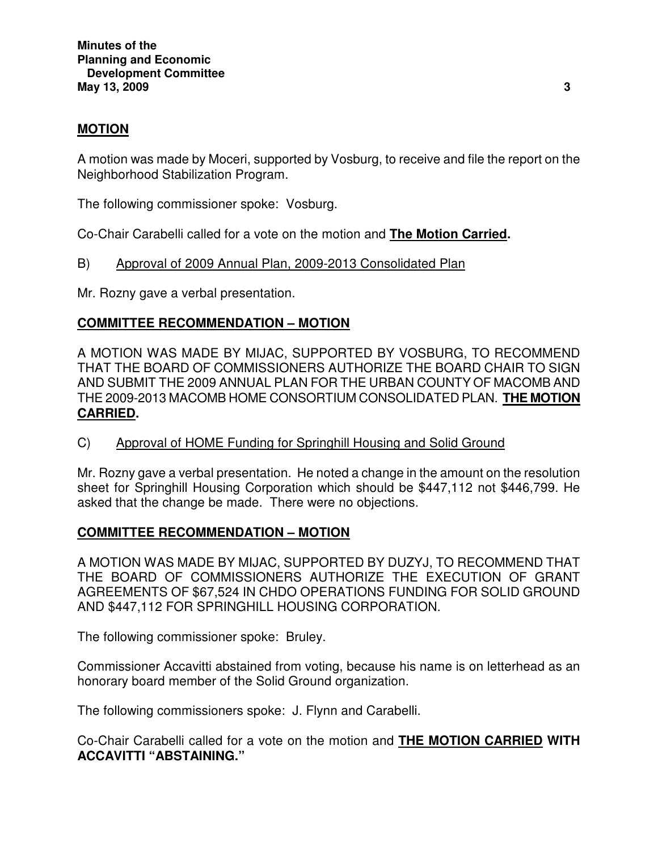## **MOTION**

A motion was made by Moceri, supported by Vosburg, to receive and file the report on the Neighborhood Stabilization Program.

The following commissioner spoke: Vosburg.

Co-Chair Carabelli called for a vote on the motion and **The Motion Carried.** 

B) Approval of 2009 Annual Plan, 2009-2013 Consolidated Plan

Mr. Rozny gave a verbal presentation.

# **COMMITTEE RECOMMENDATION – MOTION**

A MOTION WAS MADE BY MIJAC, SUPPORTED BY VOSBURG, TO RECOMMEND THAT THE BOARD OF COMMISSIONERS AUTHORIZE THE BOARD CHAIR TO SIGN AND SUBMIT THE 2009 ANNUAL PLAN FOR THE URBAN COUNTY OF MACOMB AND THE 2009-2013 MACOMB HOME CONSORTIUM CONSOLIDATED PLAN. **THE MOTION CARRIED.** 

C) Approval of HOME Funding for Springhill Housing and Solid Ground

Mr. Rozny gave a verbal presentation. He noted a change in the amount on the resolution sheet for Springhill Housing Corporation which should be \$447,112 not \$446,799. He asked that the change be made. There were no objections.

## **COMMITTEE RECOMMENDATION – MOTION**

A MOTION WAS MADE BY MIJAC, SUPPORTED BY DUZYJ, TO RECOMMEND THAT THE BOARD OF COMMISSIONERS AUTHORIZE THE EXECUTION OF GRANT AGREEMENTS OF \$67,524 IN CHDO OPERATIONS FUNDING FOR SOLID GROUND AND \$447,112 FOR SPRINGHILL HOUSING CORPORATION.

The following commissioner spoke: Bruley.

Commissioner Accavitti abstained from voting, because his name is on letterhead as an honorary board member of the Solid Ground organization.

The following commissioners spoke: J. Flynn and Carabelli.

Co-Chair Carabelli called for a vote on the motion and **THE MOTION CARRIED WITH ACCAVITTI "ABSTAINING."**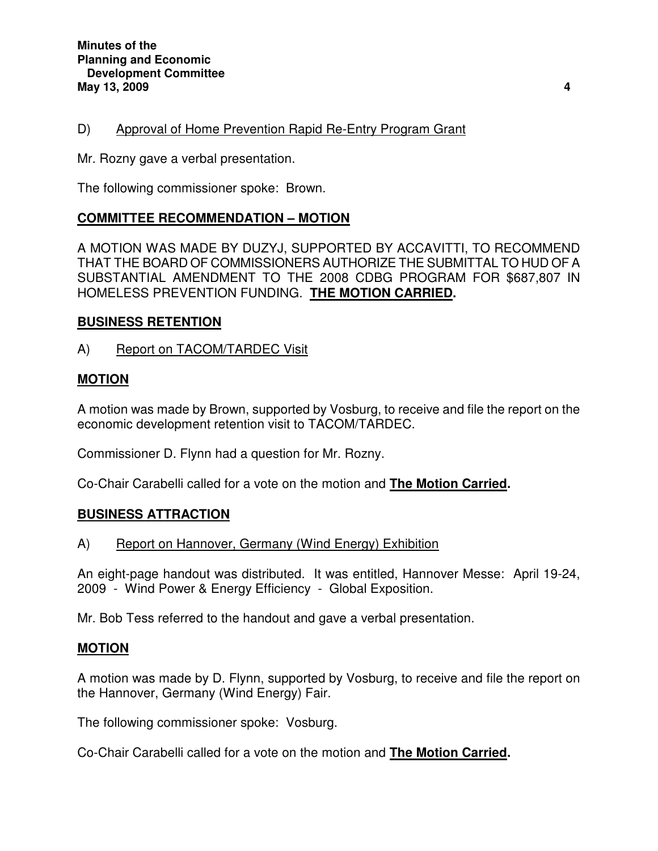## D) Approval of Home Prevention Rapid Re-Entry Program Grant

Mr. Rozny gave a verbal presentation.

The following commissioner spoke: Brown.

## **COMMITTEE RECOMMENDATION – MOTION**

A MOTION WAS MADE BY DUZYJ, SUPPORTED BY ACCAVITTI, TO RECOMMEND THAT THE BOARD OF COMMISSIONERS AUTHORIZE THE SUBMITTAL TO HUD OF A SUBSTANTIAL AMENDMENT TO THE 2008 CDBG PROGRAM FOR \$687,807 IN HOMELESS PREVENTION FUNDING. **THE MOTION CARRIED.** 

### **BUSINESS RETENTION**

A) Report on TACOM/TARDEC Visit

## **MOTION**

A motion was made by Brown, supported by Vosburg, to receive and file the report on the economic development retention visit to TACOM/TARDEC.

Commissioner D. Flynn had a question for Mr. Rozny.

Co-Chair Carabelli called for a vote on the motion and **The Motion Carried.** 

#### **BUSINESS ATTRACTION**

#### A) Report on Hannover, Germany (Wind Energy) Exhibition

An eight-page handout was distributed. It was entitled, Hannover Messe: April 19-24, 2009 - Wind Power & Energy Efficiency - Global Exposition.

Mr. Bob Tess referred to the handout and gave a verbal presentation.

#### **MOTION**

A motion was made by D. Flynn, supported by Vosburg, to receive and file the report on the Hannover, Germany (Wind Energy) Fair.

The following commissioner spoke: Vosburg.

Co-Chair Carabelli called for a vote on the motion and **The Motion Carried.**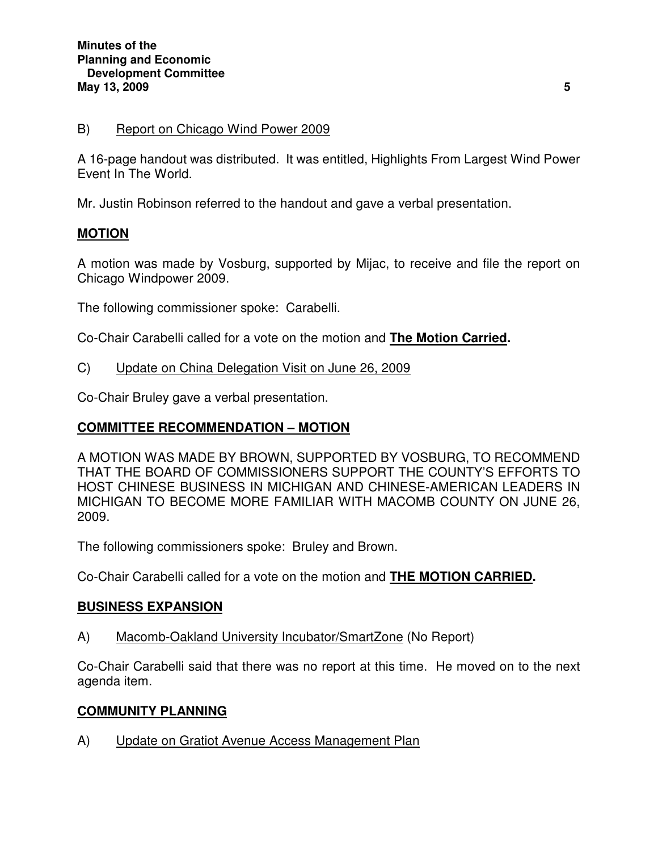### B) Report on Chicago Wind Power 2009

A 16-page handout was distributed. It was entitled, Highlights From Largest Wind Power Event In The World.

Mr. Justin Robinson referred to the handout and gave a verbal presentation.

### **MOTION**

A motion was made by Vosburg, supported by Mijac, to receive and file the report on Chicago Windpower 2009.

The following commissioner spoke: Carabelli.

Co-Chair Carabelli called for a vote on the motion and **The Motion Carried.** 

C) Update on China Delegation Visit on June 26, 2009

Co-Chair Bruley gave a verbal presentation.

### **COMMITTEE RECOMMENDATION – MOTION**

A MOTION WAS MADE BY BROWN, SUPPORTED BY VOSBURG, TO RECOMMEND THAT THE BOARD OF COMMISSIONERS SUPPORT THE COUNTY'S EFFORTS TO HOST CHINESE BUSINESS IN MICHIGAN AND CHINESE-AMERICAN LEADERS IN MICHIGAN TO BECOME MORE FAMILIAR WITH MACOMB COUNTY ON JUNE 26, 2009.

The following commissioners spoke: Bruley and Brown.

Co-Chair Carabelli called for a vote on the motion and **THE MOTION CARRIED.**

#### **BUSINESS EXPANSION**

A) Macomb-Oakland University Incubator/SmartZone (No Report)

Co-Chair Carabelli said that there was no report at this time. He moved on to the next agenda item.

#### **COMMUNITY PLANNING**

A) Update on Gratiot Avenue Access Management Plan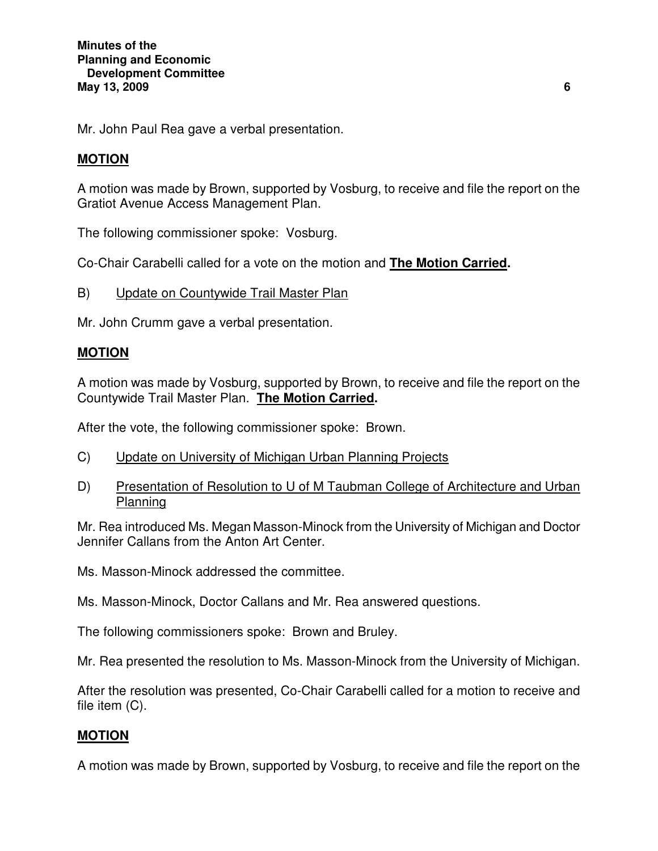Mr. John Paul Rea gave a verbal presentation.

## **MOTION**

A motion was made by Brown, supported by Vosburg, to receive and file the report on the Gratiot Avenue Access Management Plan.

The following commissioner spoke: Vosburg.

Co-Chair Carabelli called for a vote on the motion and **The Motion Carried.** 

B) Update on Countywide Trail Master Plan

Mr. John Crumm gave a verbal presentation.

### **MOTION**

A motion was made by Vosburg, supported by Brown, to receive and file the report on the Countywide Trail Master Plan. **The Motion Carried.** 

After the vote, the following commissioner spoke: Brown.

- C) Update on University of Michigan Urban Planning Projects
- D) Presentation of Resolution to U of M Taubman College of Architecture and Urban **Planning**

Mr. Rea introduced Ms. Megan Masson-Minock from the University of Michigan and Doctor Jennifer Callans from the Anton Art Center.

Ms. Masson-Minock addressed the committee.

Ms. Masson-Minock, Doctor Callans and Mr. Rea answered questions.

The following commissioners spoke: Brown and Bruley.

Mr. Rea presented the resolution to Ms. Masson-Minock from the University of Michigan.

After the resolution was presented, Co-Chair Carabelli called for a motion to receive and file item (C).

## **MOTION**

A motion was made by Brown, supported by Vosburg, to receive and file the report on the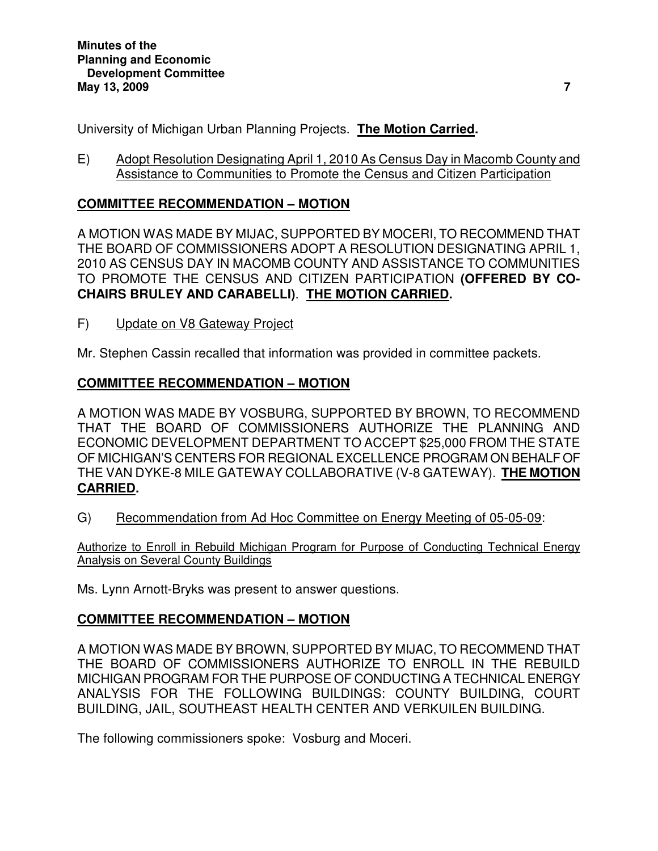University of Michigan Urban Planning Projects. **The Motion Carried.** 

E) Adopt Resolution Designating April 1, 2010 As Census Day in Macomb County and Assistance to Communities to Promote the Census and Citizen Participation

# **COMMITTEE RECOMMENDATION – MOTION**

A MOTION WAS MADE BY MIJAC, SUPPORTED BY MOCERI, TO RECOMMEND THAT THE BOARD OF COMMISSIONERS ADOPT A RESOLUTION DESIGNATING APRIL 1, 2010 AS CENSUS DAY IN MACOMB COUNTY AND ASSISTANCE TO COMMUNITIES TO PROMOTE THE CENSUS AND CITIZEN PARTICIPATION **(OFFERED BY CO-CHAIRS BRULEY AND CARABELLI)**. **THE MOTION CARRIED.** 

F) Update on V8 Gateway Project

Mr. Stephen Cassin recalled that information was provided in committee packets.

# **COMMITTEE RECOMMENDATION – MOTION**

A MOTION WAS MADE BY VOSBURG, SUPPORTED BY BROWN, TO RECOMMEND THAT THE BOARD OF COMMISSIONERS AUTHORIZE THE PLANNING AND ECONOMIC DEVELOPMENT DEPARTMENT TO ACCEPT \$25,000 FROM THE STATE OF MICHIGAN'S CENTERS FOR REGIONAL EXCELLENCE PROGRAM ON BEHALF OF THE VAN DYKE-8 MILE GATEWAY COLLABORATIVE (V-8 GATEWAY). **THE MOTION CARRIED.** 

G) Recommendation from Ad Hoc Committee on Energy Meeting of 05-05-09:

Authorize to Enroll in Rebuild Michigan Program for Purpose of Conducting Technical Energy Analysis on Several County Buildings

Ms. Lynn Arnott-Bryks was present to answer questions.

# **COMMITTEE RECOMMENDATION – MOTION**

A MOTION WAS MADE BY BROWN, SUPPORTED BY MIJAC, TO RECOMMEND THAT THE BOARD OF COMMISSIONERS AUTHORIZE TO ENROLL IN THE REBUILD MICHIGAN PROGRAM FOR THE PURPOSE OF CONDUCTING A TECHNICAL ENERGY ANALYSIS FOR THE FOLLOWING BUILDINGS: COUNTY BUILDING, COURT BUILDING, JAIL, SOUTHEAST HEALTH CENTER AND VERKUILEN BUILDING.

The following commissioners spoke: Vosburg and Moceri.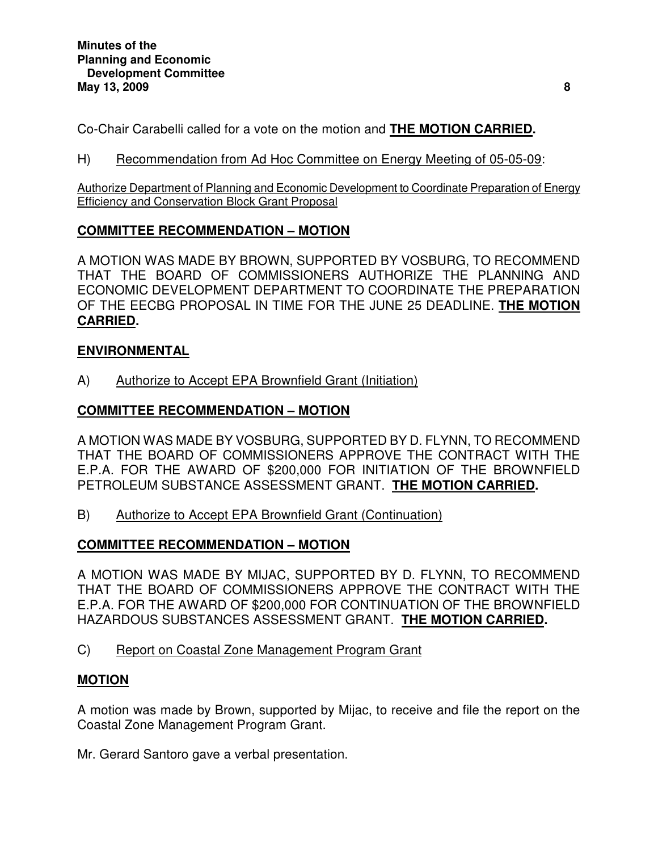Co-Chair Carabelli called for a vote on the motion and **THE MOTION CARRIED.** 

H) Recommendation from Ad Hoc Committee on Energy Meeting of 05-05-09:

Authorize Department of Planning and Economic Development to Coordinate Preparation of Energy Efficiency and Conservation Block Grant Proposal

## **COMMITTEE RECOMMENDATION – MOTION**

A MOTION WAS MADE BY BROWN, SUPPORTED BY VOSBURG, TO RECOMMEND THAT THE BOARD OF COMMISSIONERS AUTHORIZE THE PLANNING AND ECONOMIC DEVELOPMENT DEPARTMENT TO COORDINATE THE PREPARATION OF THE EECBG PROPOSAL IN TIME FOR THE JUNE 25 DEADLINE. **THE MOTION CARRIED.** 

## **ENVIRONMENTAL**

A) Authorize to Accept EPA Brownfield Grant (Initiation)

## **COMMITTEE RECOMMENDATION – MOTION**

A MOTION WAS MADE BY VOSBURG, SUPPORTED BY D. FLYNN, TO RECOMMEND THAT THE BOARD OF COMMISSIONERS APPROVE THE CONTRACT WITH THE E.P.A. FOR THE AWARD OF \$200,000 FOR INITIATION OF THE BROWNFIELD PETROLEUM SUBSTANCE ASSESSMENT GRANT. **THE MOTION CARRIED.** 

B) Authorize to Accept EPA Brownfield Grant (Continuation)

# **COMMITTEE RECOMMENDATION – MOTION**

A MOTION WAS MADE BY MIJAC, SUPPORTED BY D. FLYNN, TO RECOMMEND THAT THE BOARD OF COMMISSIONERS APPROVE THE CONTRACT WITH THE E.P.A. FOR THE AWARD OF \$200,000 FOR CONTINUATION OF THE BROWNFIELD HAZARDOUS SUBSTANCES ASSESSMENT GRANT. **THE MOTION CARRIED.** 

C) Report on Coastal Zone Management Program Grant

## **MOTION**

A motion was made by Brown, supported by Mijac, to receive and file the report on the Coastal Zone Management Program Grant.

Mr. Gerard Santoro gave a verbal presentation.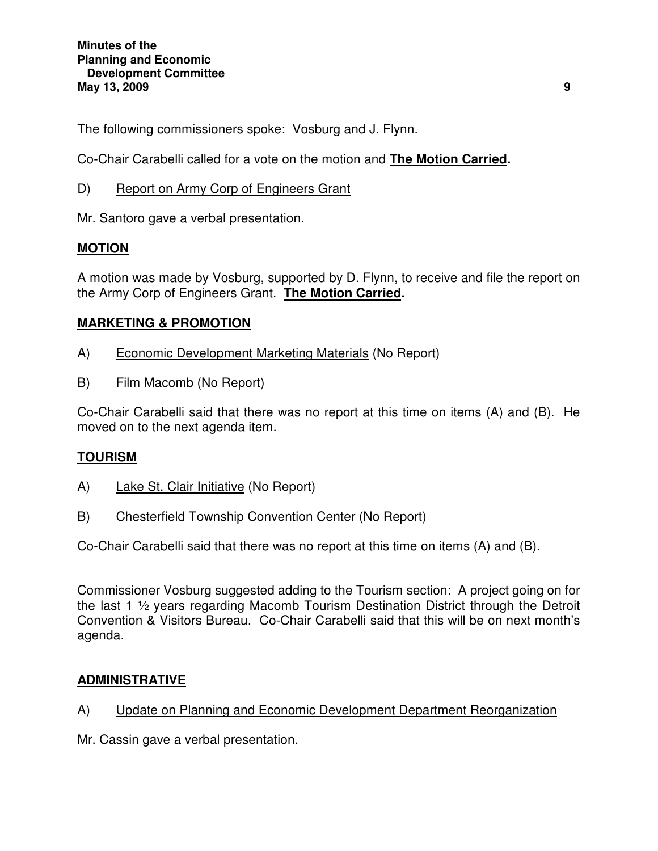The following commissioners spoke: Vosburg and J. Flynn.

Co-Chair Carabelli called for a vote on the motion and **The Motion Carried.** 

D) Report on Army Corp of Engineers Grant

Mr. Santoro gave a verbal presentation.

## **MOTION**

A motion was made by Vosburg, supported by D. Flynn, to receive and file the report on the Army Corp of Engineers Grant. **The Motion Carried.** 

## **MARKETING & PROMOTION**

- A) Economic Development Marketing Materials (No Report)
- B) Film Macomb (No Report)

Co-Chair Carabelli said that there was no report at this time on items (A) and (B). He moved on to the next agenda item.

# **TOURISM**

- A) Lake St. Clair Initiative (No Report)
- B) Chesterfield Township Convention Center (No Report)

Co-Chair Carabelli said that there was no report at this time on items (A) and (B).

Commissioner Vosburg suggested adding to the Tourism section: A project going on for the last 1 ½ years regarding Macomb Tourism Destination District through the Detroit Convention & Visitors Bureau. Co-Chair Carabelli said that this will be on next month's agenda.

## **ADMINISTRATIVE**

- A) Update on Planning and Economic Development Department Reorganization
- Mr. Cassin gave a verbal presentation.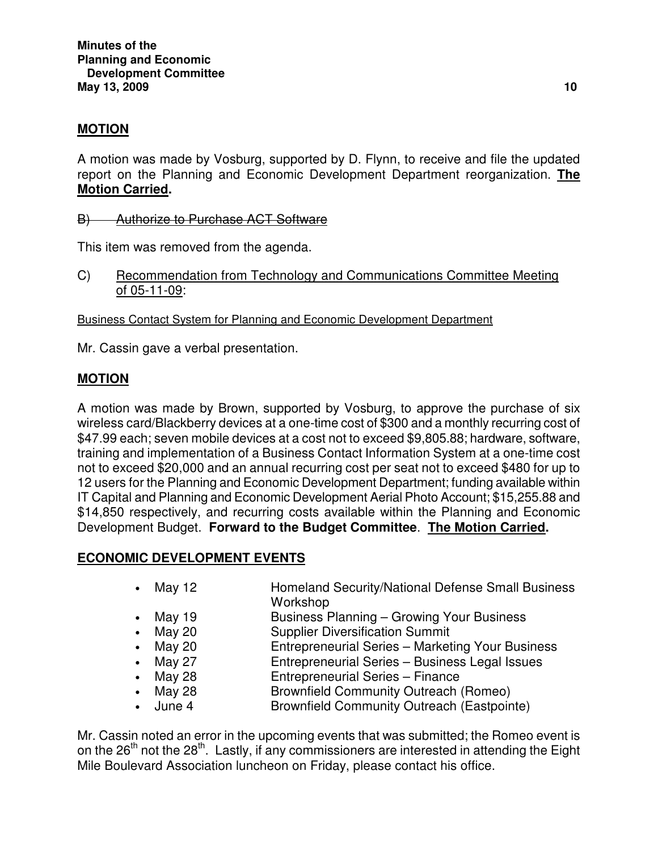## **MOTION**

A motion was made by Vosburg, supported by D. Flynn, to receive and file the updated report on the Planning and Economic Development Department reorganization. **The Motion Carried.** 

B) Authorize to Purchase ACT Software

This item was removed from the agenda.

C) Recommendation from Technology and Communications Committee Meeting of 05-11-09:

Business Contact System for Planning and Economic Development Department

Mr. Cassin gave a verbal presentation.

## **MOTION**

A motion was made by Brown, supported by Vosburg, to approve the purchase of six wireless card/Blackberry devices at a one-time cost of \$300 and a monthly recurring cost of \$47.99 each; seven mobile devices at a cost not to exceed \$9,805.88; hardware, software, training and implementation of a Business Contact Information System at a one-time cost not to exceed \$20,000 and an annual recurring cost per seat not to exceed \$480 for up to 12 users for the Planning and Economic Development Department; funding available within IT Capital and Planning and Economic Development Aerial Photo Account; \$15,255.88 and \$14,850 respectively, and recurring costs available within the Planning and Economic Development Budget. **Forward to the Budget Committee**. **The Motion Carried.** 

## **ECONOMIC DEVELOPMENT EVENTS**

- May 12 **Homeland Security/National Defense Small Business** Workshop
- May 19 **Business Planning Growing Your Business**
- May 20 Supplier Diversification Summit
- May 20 **Entrepreneurial Series Marketing Your Business**
- May 27 **Entrepreneurial Series Business Legal Issues**
- May 28 Entrepreneurial Series Finance
- May 28 **Brownfield Community Outreach (Romeo)**
- June 4 Brownfield Community Outreach (Eastpointe)

Mr. Cassin noted an error in the upcoming events that was submitted; the Romeo event is on the  $26<sup>th</sup>$  not the  $28<sup>th</sup>$ . Lastly, if any commissioners are interested in attending the Eight Mile Boulevard Association luncheon on Friday, please contact his office.